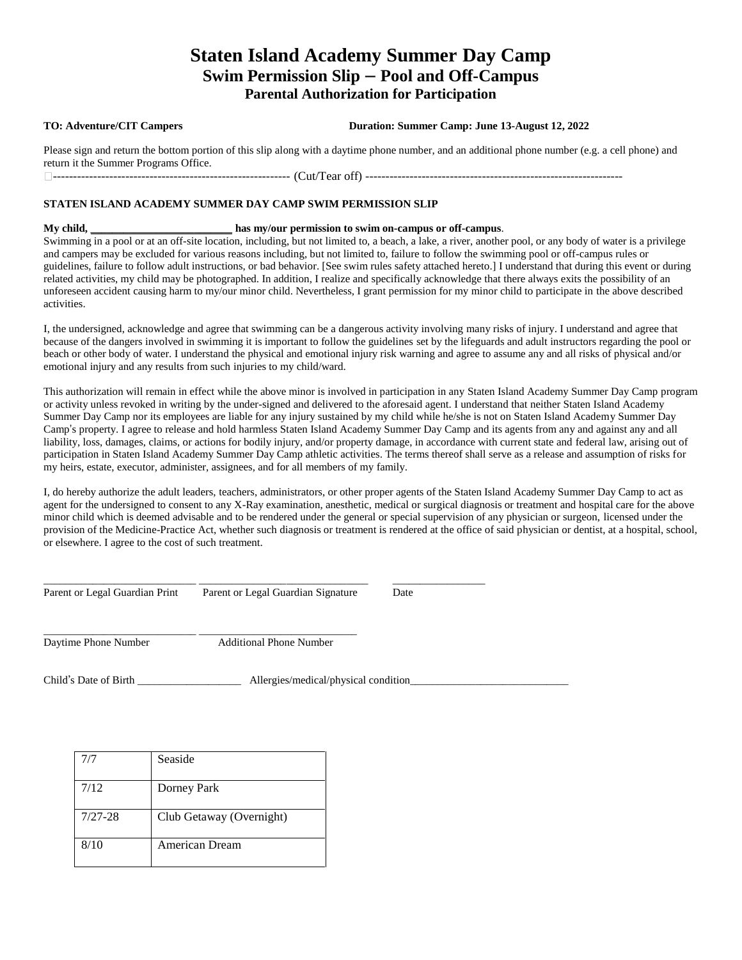## **Staten Island Academy Summer Day Camp Swim Permission Slip – Pool and Off-Campus Parental Authorization for Participation**

**TO: Adventure/CIT Campers Duration: Summer Camp: June 13-August 12, 2022**

Please sign and return the bottom portion of this slip along with a daytime phone number, and an additional phone number (e.g. a cell phone) and return it the Summer Programs Office. ----------------------------------------------------------- (Cut/Tear off) ----------------------------------------------------------------

## **STATEN ISLAND ACADEMY SUMMER DAY CAMP SWIM PERMISSION SLIP**

**My child, \_\_\_\_\_\_\_\_\_\_\_\_\_\_\_\_\_\_\_\_\_\_\_\_\_\_ has my/our permission to swim on-campus or off-campus**. Swimming in a pool or at an off-site location, including, but not limited to, a beach, a lake, a river, another pool, or any body of water is a privilege and campers may be excluded for various reasons including, but not limited to, failure to follow the swimming pool or off-campus rules or guidelines, failure to follow adult instructions, or bad behavior. [See swim rules safety attached hereto.] I understand that during this event or during related activities, my child may be photographed. In addition, I realize and specifically acknowledge that there always exits the possibility of an unforeseen accident causing harm to my/our minor child. Nevertheless, I grant permission for my minor child to participate in the above described activities.

I, the undersigned, acknowledge and agree that swimming can be a dangerous activity involving many risks of injury. I understand and agree that because of the dangers involved in swimming it is important to follow the guidelines set by the lifeguards and adult instructors regarding the pool or beach or other body of water. I understand the physical and emotional injury risk warning and agree to assume any and all risks of physical and/or emotional injury and any results from such injuries to my child/ward.

This authorization will remain in effect while the above minor is involved in participation in any Staten Island Academy Summer Day Camp program or activity unless revoked in writing by the under-signed and delivered to the aforesaid agent. I understand that neither Staten Island Academy Summer Day Camp nor its employees are liable for any injury sustained by my child while he/she is not on Staten Island Academy Summer Day Camp's property. I agree to release and hold harmless Staten Island Academy Summer Day Camp and its agents from any and against any and all liability, loss, damages, claims, or actions for bodily injury, and/or property damage, in accordance with current state and federal law, arising out of participation in Staten Island Academy Summer Day Camp athletic activities. The terms thereof shall serve as a release and assumption of risks for my heirs, estate, executor, administer, assignees, and for all members of my family.

I, do hereby authorize the adult leaders, teachers, administrators, or other proper agents of the Staten Island Academy Summer Day Camp to act as agent for the undersigned to consent to any X-Ray examination, anesthetic, medical or surgical diagnosis or treatment and hospital care for the above minor child which is deemed advisable and to be rendered under the general or special supervision of any physician or surgeon, licensed under the provision of the Medicine-Practice Act, whether such diagnosis or treatment is rendered at the office of said physician or dentist, at a hospital, school, or elsewhere. I agree to the cost of such treatment.

Parent or Legal Guardian Print Parent or Legal Guardian Signature Date

\_\_\_\_\_\_\_\_\_\_\_\_\_\_\_\_\_\_\_\_\_\_\_\_\_\_\_\_ \_\_\_\_\_\_\_\_\_\_\_\_\_\_\_\_\_\_\_\_\_\_\_\_\_\_\_\_\_\_\_ \_\_\_\_\_\_\_\_\_\_\_\_\_\_\_\_\_

Daytime Phone Number Additional Phone Number

\_\_\_\_\_\_\_\_\_\_\_\_\_\_\_\_\_\_\_\_\_\_\_\_\_\_\_\_ \_\_\_\_\_\_\_\_\_\_\_\_\_\_\_\_\_\_\_\_\_\_\_\_\_\_\_\_\_

Child's Date of Birth \_\_\_\_\_\_\_\_\_\_\_\_\_\_\_\_\_\_\_\_\_\_\_\_\_ Allergies/medical/physical condition\_

| 7/7         | Seaside                  |
|-------------|--------------------------|
| 7/12        | Dorney Park              |
| $7/27 - 28$ | Club Getaway (Overnight) |
| 8/10        | <b>American Dream</b>    |